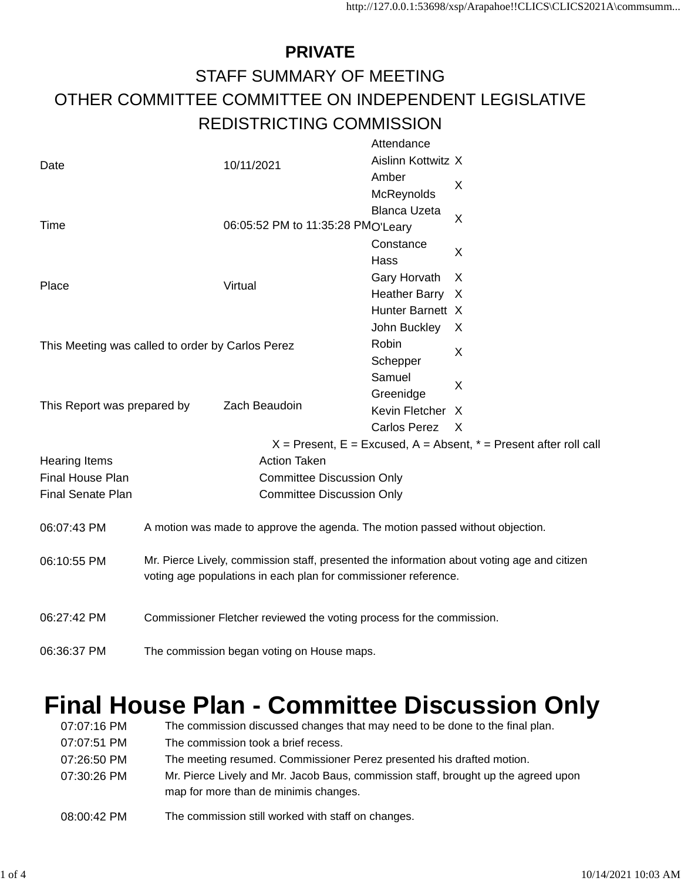## **PRIVATE** STAFF SUMMARY OF MEETING OTHER COMMITTEE COMMITTEE ON INDEPENDENT LEGISLATIVE REDISTRICTING COMMISSION Attendance

|                                                  |                                                                                             |                                   | Attendance           |                                                                       |  |  |  |
|--------------------------------------------------|---------------------------------------------------------------------------------------------|-----------------------------------|----------------------|-----------------------------------------------------------------------|--|--|--|
| Date                                             | 10/11/2021                                                                                  |                                   | Aislinn Kottwitz X   |                                                                       |  |  |  |
|                                                  |                                                                                             |                                   | Amber                | X                                                                     |  |  |  |
|                                                  |                                                                                             |                                   | McReynolds           |                                                                       |  |  |  |
|                                                  |                                                                                             |                                   | <b>Blanca Uzeta</b>  | X                                                                     |  |  |  |
| Time                                             |                                                                                             | 06:05:52 PM to 11:35:28 PMO'Leary |                      |                                                                       |  |  |  |
|                                                  |                                                                                             |                                   | Constance            | X                                                                     |  |  |  |
|                                                  |                                                                                             |                                   | Hass                 |                                                                       |  |  |  |
| Place                                            |                                                                                             | Virtual                           | Gary Horvath         | X                                                                     |  |  |  |
|                                                  |                                                                                             |                                   | <b>Heather Barry</b> | X                                                                     |  |  |  |
|                                                  |                                                                                             |                                   | Hunter Barnett X     |                                                                       |  |  |  |
|                                                  |                                                                                             |                                   | John Buckley         | X                                                                     |  |  |  |
| This Meeting was called to order by Carlos Perez |                                                                                             |                                   | Robin                | X                                                                     |  |  |  |
|                                                  |                                                                                             |                                   | Schepper             |                                                                       |  |  |  |
|                                                  |                                                                                             |                                   | Samuel               | X                                                                     |  |  |  |
| This Report was prepared by                      |                                                                                             |                                   | Greenidge            |                                                                       |  |  |  |
|                                                  |                                                                                             | Zach Beaudoin                     | Kevin Fletcher X     |                                                                       |  |  |  |
|                                                  |                                                                                             |                                   | <b>Carlos Perez</b>  | X                                                                     |  |  |  |
|                                                  |                                                                                             |                                   |                      | $X =$ Present, E = Excused, A = Absent, $* =$ Present after roll call |  |  |  |
| <b>Hearing Items</b>                             |                                                                                             | <b>Action Taken</b>               |                      |                                                                       |  |  |  |
| Final House Plan                                 |                                                                                             | <b>Committee Discussion Only</b>  |                      |                                                                       |  |  |  |
| <b>Final Senate Plan</b>                         |                                                                                             | <b>Committee Discussion Only</b>  |                      |                                                                       |  |  |  |
| 06:07:43 PM                                      | A motion was made to approve the agenda. The motion passed without objection.               |                                   |                      |                                                                       |  |  |  |
| 06:10:55 PM                                      | Mr. Pierce Lively, commission staff, presented the information about voting age and citizen |                                   |                      |                                                                       |  |  |  |
|                                                  | voting age populations in each plan for commissioner reference.                             |                                   |                      |                                                                       |  |  |  |
| 06:27:42 PM                                      | Commissioner Fletcher reviewed the voting process for the commission.                       |                                   |                      |                                                                       |  |  |  |
| 06:36:37 PM                                      | The commission began voting on House maps.                                                  |                                   |                      |                                                                       |  |  |  |

## **Final House Plan - Committee Discussion Only**

| 07:07:16 PM | The commission discussed changes that may need to be done to the final plan.                                                |
|-------------|-----------------------------------------------------------------------------------------------------------------------------|
| 07:07:51 PM | The commission took a brief recess.                                                                                         |
| 07:26:50 PM | The meeting resumed. Commissioner Perez presented his drafted motion.                                                       |
| 07:30:26 PM | Mr. Pierce Lively and Mr. Jacob Baus, commission staff, brought up the agreed upon<br>map for more than de minimis changes. |
| 08:00:42 PM | The commission still worked with staff on changes.                                                                          |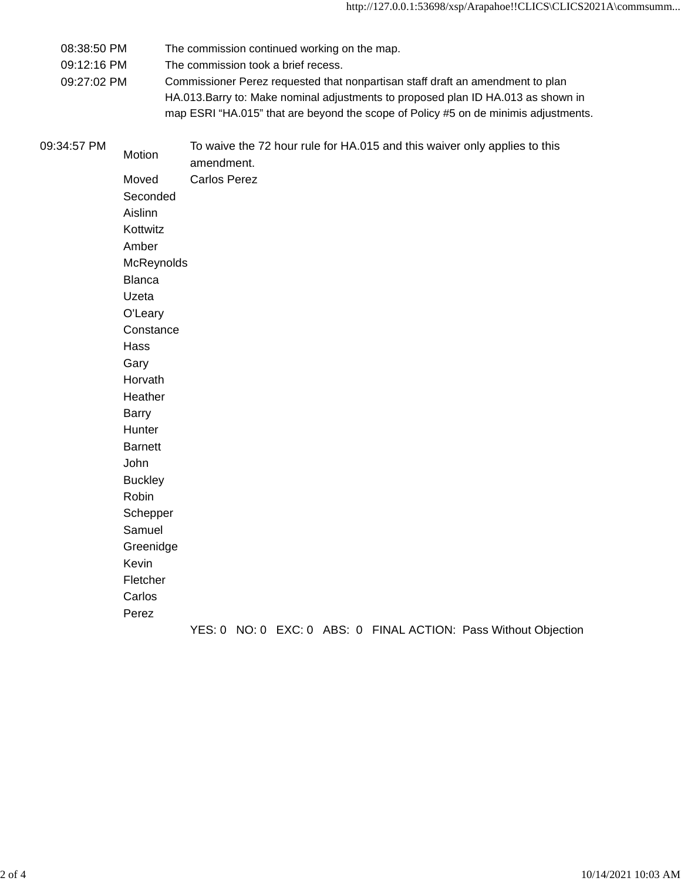08:38:50 PM The commission continued working on the map.

09:12:16 PM The commission took a brief recess.

09:27:02 PM Commissioner Perez requested that nonpartisan staff draft an amendment to plan HA.013.Barry to: Make nominal adjustments to proposed plan ID HA.013 as shown in map ESRI "HA.015" that are beyond the scope of Policy #5 on de minimis adjustments.

| 09:34:57 PM | Motion         | amendment.          |  | To waive the 72 hour rule for HA.015 and this waiver only applies to this |  |
|-------------|----------------|---------------------|--|---------------------------------------------------------------------------|--|
|             | Moved          | <b>Carlos Perez</b> |  |                                                                           |  |
|             | Seconded       |                     |  |                                                                           |  |
|             | Aislinn        |                     |  |                                                                           |  |
|             | Kottwitz       |                     |  |                                                                           |  |
|             | Amber          |                     |  |                                                                           |  |
|             | McReynolds     |                     |  |                                                                           |  |
|             | <b>Blanca</b>  |                     |  |                                                                           |  |
|             | Uzeta          |                     |  |                                                                           |  |
|             | O'Leary        |                     |  |                                                                           |  |
|             | Constance      |                     |  |                                                                           |  |
|             | Hass           |                     |  |                                                                           |  |
|             | Gary           |                     |  |                                                                           |  |
|             | Horvath        |                     |  |                                                                           |  |
|             | Heather        |                     |  |                                                                           |  |
|             | <b>Barry</b>   |                     |  |                                                                           |  |
|             | Hunter         |                     |  |                                                                           |  |
|             | <b>Barnett</b> |                     |  |                                                                           |  |
|             | John           |                     |  |                                                                           |  |
|             | <b>Buckley</b> |                     |  |                                                                           |  |
|             | Robin          |                     |  |                                                                           |  |
|             | Schepper       |                     |  |                                                                           |  |
|             | Samuel         |                     |  |                                                                           |  |
|             | Greenidge      |                     |  |                                                                           |  |
|             | Kevin          |                     |  |                                                                           |  |
|             | Fletcher       |                     |  |                                                                           |  |
|             | Carlos         |                     |  |                                                                           |  |
|             | Perez          |                     |  |                                                                           |  |
|             |                |                     |  | YES: 0 NO: 0 EXC: 0 ABS: 0 FINAL ACTION: Pass Without Objection           |  |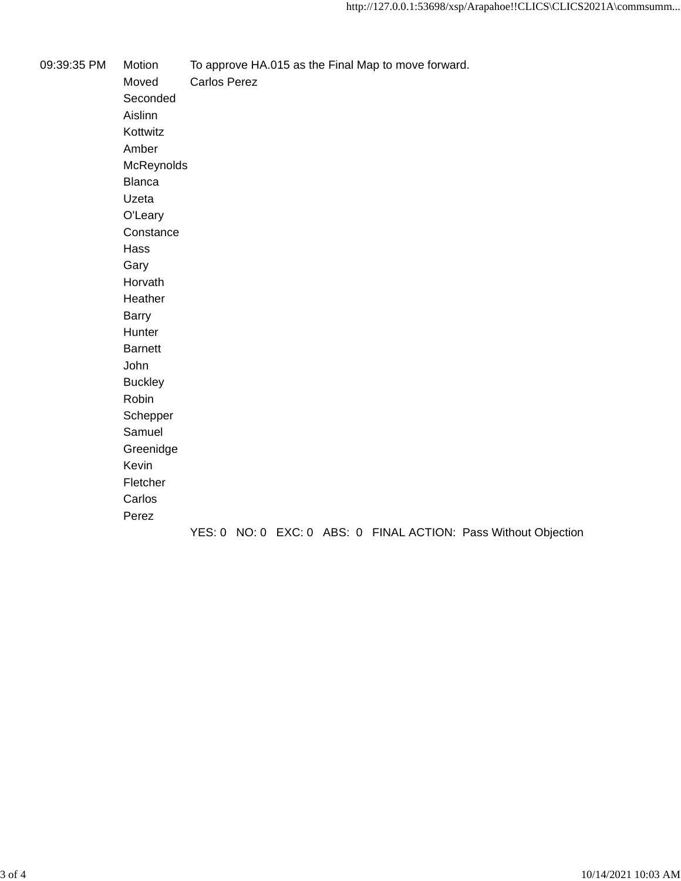09:39:35 PM Motion To approve HA.015 as the Final Map to move forward.

Moved Carlos Perez Seconded Aislinn Kottwitz Amber McReynolds Blanca Uzeta O'Leary **Constance** Hass Gary Horvath Heather Barry Hunter Barnett John Buckley Robin Schepper Samuel Greenidge Kevin Fletcher Carlos Perez YES: 0 NO: 0 EXC: 0 ABS: 0 FINAL ACTION: Pass Without Objection